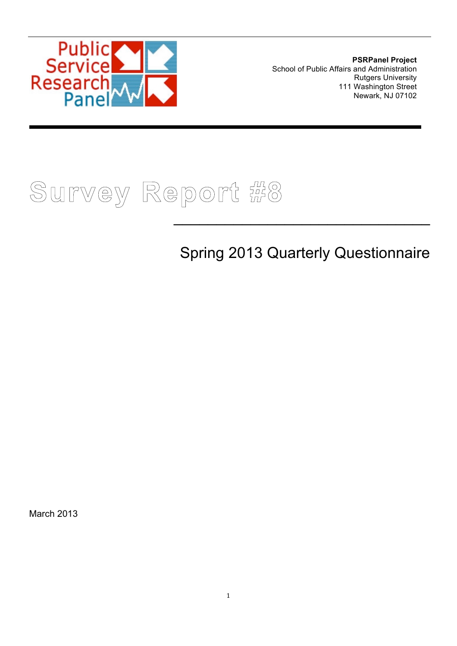

**PSRPanel Project** School of Public Affairs and Administration Rutgers University 111 Washington Street Newark, NJ 07102

# **Survey Report #8**

# Spring 2013 Quarterly Questionnaire

 $\mathcal{L}_\text{max}$  and  $\mathcal{L}_\text{max}$  and  $\mathcal{L}_\text{max}$  and  $\mathcal{L}_\text{max}$  and  $\mathcal{L}_\text{max}$ 

March 2013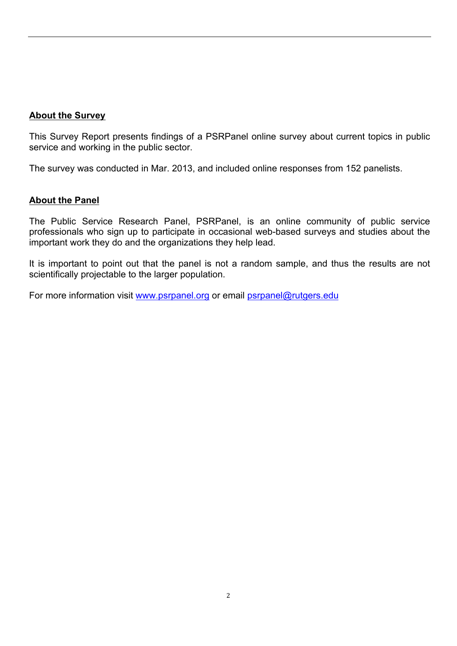#### **About the Survey**

This Survey Report presents findings of a PSRPanel online survey about current topics in public service and working in the public sector.

The survey was conducted in Mar. 2013, and included online responses from 152 panelists.

#### **About the Panel**

The Public Service Research Panel, PSRPanel, is an online community of public service professionals who sign up to participate in occasional web-based surveys and studies about the important work they do and the organizations they help lead.

It is important to point out that the panel is not a random sample, and thus the results are not scientifically projectable to the larger population.

For more information visit www.psrpanel.org or email psrpanel@rutgers.edu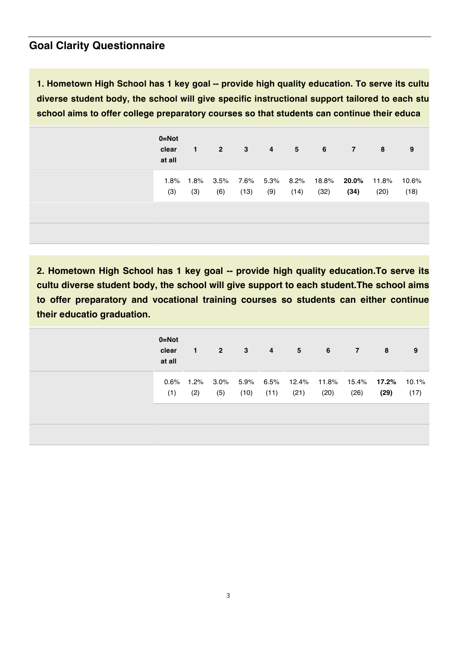#### **Goal Clarity Questionnaire**

**1. Hometown High School has 1 key goal -- provide high quality education. To serve its cultu diverse student body, the school will give specific instructional support tailored to each stu school aims to offer college preparatory courses so that students can continue their educa**

| $0 = Not$<br>clear<br>at all | $\blacksquare$   | $2^{\circ}$ | 3    | $\overline{4}$ | 5 <sup>5</sup> | $6\overline{6}$                                          | $\overline{7}$ | 8    | 9             |
|------------------------------|------------------|-------------|------|----------------|----------------|----------------------------------------------------------|----------------|------|---------------|
| (3)                          | 1.8% 1.8%<br>(3) | (6)         | (13) | (9)            | (14)           | 3.5%  7.6%  5.3%  8.2%  18.8% <b>20.0%</b> 11.8%<br>(32) | (34)           | (20) | 10.6%<br>(18) |
|                              |                  |             |      |                |                |                                                          |                |      |               |

**2. Hometown High School has 1 key goal -- provide high quality education.To serve its cultu diverse student body, the school will give support to each student.The school aims to offer preparatory and vocational training courses so students can either continue their educatio graduation.**

| $0 = Not$<br>clear<br>at all | $\mathbf{1}$     | $2^{\circ}$ | 3    | $\overline{4}$ | 5    | 6    | $\overline{7}$                                        | 8    | 9             |
|------------------------------|------------------|-------------|------|----------------|------|------|-------------------------------------------------------|------|---------------|
| (1)                          | 0.6% 1.2%<br>(2) | (5)         | (10) | (11)           | (21) | (20) | 3.0% 5.9% 6.5% 12.4% 11.8% 15.4% <b>17.2%</b><br>(26) | (29) | 10.1%<br>(17) |
|                              |                  |             |      |                |      |      |                                                       |      |               |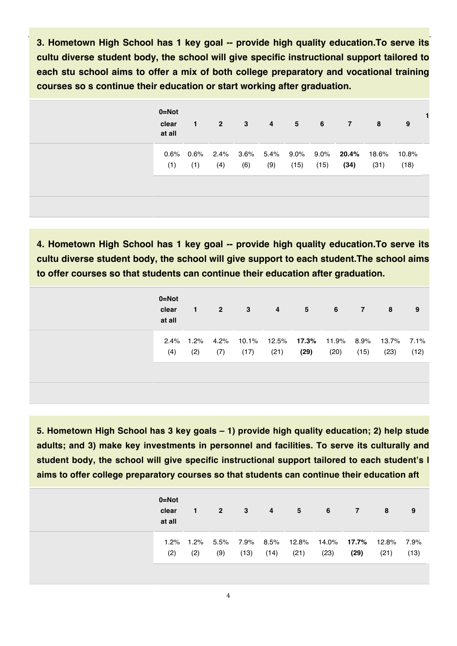**3. Hometown High School has 1 key goal -- provide high quality education.To serve its cultu diverse student body, the school will give specific instructional support tailored to each stu school aims to offer a mix of both college preparatory and vocational training courses so s continue their education or start working after graduation.**

| $0 = Not$<br>clear<br>at all | $\mathbf{1}$        | $\overline{2}$ | 3   | 4                | $5^{\circ}$     | 6    | $\overline{7}$     | 8             | 9             |
|------------------------------|---------------------|----------------|-----|------------------|-----------------|------|--------------------|---------------|---------------|
| (1)                          | $0.6\%$ 0.6%<br>(1) | 2.4%<br>(4)    | (6) | 3.6% 5.4%<br>(9) | $9.0\%$<br>(15) | (15) | 9.0% 20.4%<br>(34) | 18.6%<br>(31) | 10.8%<br>(18) |
|                              |                     |                |     |                  |                 |      |                    |               |               |

**4. Hometown High School has 1 key goal -- provide high quality education.To serve its cultu diverse student body, the school will give support to each student.The school aims to offer courses so that students can continue their education after graduation.**

| $0 = Not$<br>clear<br>at all | 1.  | 2 <sup>7</sup> | $3^{\circ}$ | $\overline{4}$ | $5 -$                                                | 6    | 7    | 8    | 9    |
|------------------------------|-----|----------------|-------------|----------------|------------------------------------------------------|------|------|------|------|
| 2.4% 1.2%<br>(4)             | (2) | (7)            | (17)        | (21)           | 4.2% 10.1% 12.5% 17.3% 11.9% 8.9% 13.7% 7.1%<br>(29) | (20) | (15) | (23) | (12) |

**5. Hometown High School has 3 key goals – 1) provide high quality education; 2) help stude adults; and 3) make key investments in personnel and facilities. To serve its culturally and student body, the school will give specific instructional support tailored to each student's l aims to offer college preparatory courses so that students can continue their education aft**

| $0 = Not$<br>clear<br>at all | 1.          | 2 <sup>7</sup> | -3                     | $\overline{4}$ | 5    | 6    | $\overline{7}$                          | 8    | 9            |
|------------------------------|-------------|----------------|------------------------|----------------|------|------|-----------------------------------------|------|--------------|
| $1.2\%$<br>(2)               | 1.2%<br>(2) | (9)            | 5.5% 7.9% 8.5%<br>(13) | (14)           | (21) | (23) | 12.8%  14.0% <b>17.7%</b> 12.8%<br>(29) | (21) | 7.9%<br>(13) |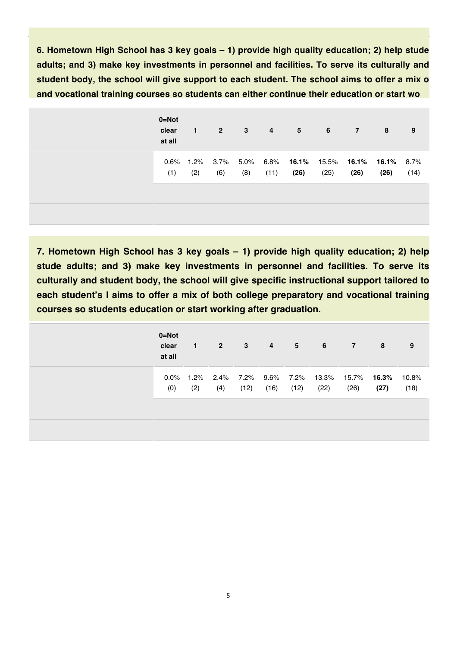**6. Hometown High School has 3 key goals – 1) provide high quality education; 2) help stude adults; and 3) make key investments in personnel and facilities. To serve its culturally and student body, the school will give support to each student. The school aims to offer a mix o and vocational training courses so students can either continue their education or start wo**

| 5                                                      | $\overline{4}$ | 3   | $\overline{2}$ | $\mathbf{1}$ | $0 = Not$<br>clear<br>at all |
|--------------------------------------------------------|----------------|-----|----------------|--------------|------------------------------|
| 5.0% 6.8% 16.1% 15.5% 16.1% 16.1% 8.7%<br>(26)<br>(11) |                | (8) | 3.7%<br>(6)    | 1.2%<br>(2)  | 0.6%<br>(1)                  |
|                                                        |                |     |                |              |                              |

**7. Hometown High School has 3 key goals – 1) provide high quality education; 2) help stude adults; and 3) make key investments in personnel and facilities. To serve its culturally and student body, the school will give specific instructional support tailored to each student's l aims to offer a mix of both college preparatory and vocational training courses so students education or start working after graduation.**

| $0 = Not$<br>clear<br>at all | $\mathbf 1$ | $2^{\circ}$ | $\mathbf{3}$ | $\overline{\mathbf{4}}$ | 5 <sup>5</sup> | $6\overline{6}$                                         | $\overline{7}$ | 8    | 9             |
|------------------------------|-------------|-------------|--------------|-------------------------|----------------|---------------------------------------------------------|----------------|------|---------------|
| (0)                          | (2)         | (4)         | (12)         | (16)                    | (12)           | 0.0% 1.2% 2.4% 7.2% 9.6% 7.2% 13.3% 15.7% 16.3%<br>(22) | (26)           | (27) | 10.8%<br>(18) |
|                              |             |             |              |                         |                |                                                         |                |      |               |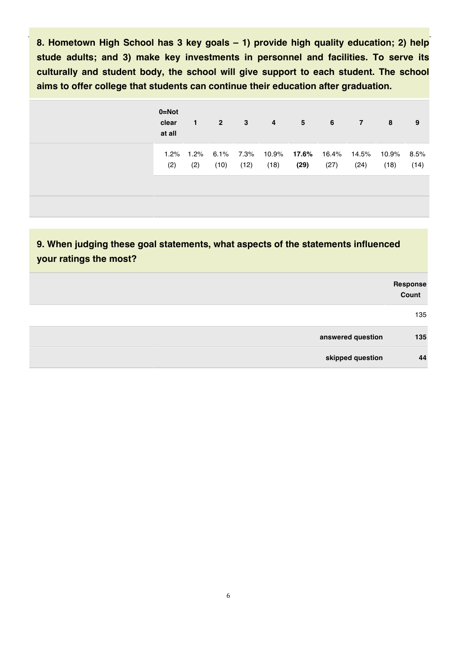**8. Hometown High School has 3 key goals – 1) provide high quality education; 2) help stude adults; and 3) make key investments in personnel and facilities. To serve its culturally and student body, the school will give support to each student. The school aims to offer college that students can continue their education after graduation.**

| $0 = Not$<br>clear<br>at all | 1.               | 2 <sup>7</sup> | $\mathbf{3}$      | $\overline{4}$ | 5                                | 6    | $\mathbf{7}$  | 8                  | 9    |
|------------------------------|------------------|----------------|-------------------|----------------|----------------------------------|------|---------------|--------------------|------|
| (2)                          | 1.2% 1.2%<br>(2) | (10)           | 6.1% 7.3%<br>(12) | (18)           | 10.9% <b>17.6%</b> 16.4%<br>(29) | (27) | 14.5%<br>(24) | 10.9% 8.5%<br>(18) | (14) |

**9. When judging these goal statements, what aspects of the statements influenced your ratings the most?**

| Response<br>Count |                   |  |
|-------------------|-------------------|--|
| 135               |                   |  |
| 135               | answered question |  |
| 44                | skipped question  |  |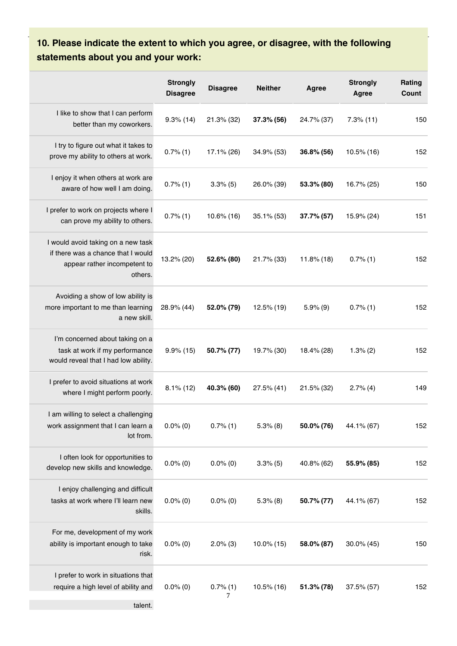#### **10. Please indicate the extent to which you agree, or disagree, with the following statements about you and your work:**

|                                                                                                                     | <b>Strongly</b><br><b>Disagree</b> | <b>Disagree</b>  | <b>Neither</b> | Agree         | <b>Strongly</b><br>Agree | Rating<br>Count |
|---------------------------------------------------------------------------------------------------------------------|------------------------------------|------------------|----------------|---------------|--------------------------|-----------------|
| I like to show that I can perform<br>better than my coworkers.                                                      | $9.3\%$ (14)                       | 21.3% (32)       | 37.3% (56)     | 24.7% (37)    | $7.3%$ (11)              | 150             |
| I try to figure out what it takes to<br>prove my ability to others at work.                                         | 0.7%(1)                            | 17.1% (26)       | 34.9% (53)     | 36.8% (56)    | 10.5% (16)               | 152             |
| I enjoy it when others at work are<br>aware of how well I am doing.                                                 | 0.7%(1)                            | 3.3%(5)          | 26.0% (39)     | 53.3% (80)    | 16.7% (25)               | 150             |
| I prefer to work on projects where I<br>can prove my ability to others.                                             | 0.7%(1)                            | $10.6\%$ (16)    | $35.1\%$ (53)  | 37.7% (57)    | 15.9% (24)               | 151             |
| I would avoid taking on a new task<br>if there was a chance that I would<br>appear rather incompetent to<br>others. | 13.2% (20)                         | 52.6% (80)       | 21.7% (33)     | $11.8\%$ (18) | 0.7%(1)                  | 152             |
| Avoiding a show of low ability is<br>more important to me than learning<br>a new skill.                             | 28.9% (44)                         | 52.0% (79)       | 12.5% (19)     | $5.9\%$ (9)   | 0.7%(1)                  | 152             |
| I'm concerned about taking on a<br>task at work if my performance<br>would reveal that I had low ability.           | $9.9\%$ (15)                       | 50.7% (77)       | 19.7% (30)     | 18.4% (28)    | 1.3%(2)                  | 152             |
| I prefer to avoid situations at work<br>where I might perform poorly.                                               | $8.1\%$ (12)                       | 40.3% (60)       | 27.5% (41)     | 21.5% (32)    | 2.7%(4)                  | 149             |
| I am willing to select a challenging<br>work assignment that I can learn a<br>lot from.                             | $0.0\%$ (0)                        | $0.7\%$ (1)      | $5.3\%$ (8)    | 50.0% (76)    | 44.1% (67)               | 152             |
| I often look for opportunities to<br>develop new skills and knowledge.                                              | $0.0\%$ (0)                        | $0.0\%$ (0)      | $3.3\%$ (5)    | 40.8% (62)    | 55.9% (85)               | 152             |
| I enjoy challenging and difficult<br>tasks at work where I'll learn new<br>skills.                                  | $0.0\%$ (0)                        | $0.0\%$ (0)      | $5.3\%$ (8)    | 50.7% (77)    | 44.1% (67)               | 152             |
| For me, development of my work<br>ability is important enough to take<br>risk.                                      | $0.0\%$ (0)                        | $2.0\%$ (3)      | 10.0% (15)     | 58.0% (87)    | 30.0% (45)               | 150             |
| I prefer to work in situations that<br>require a high level of ability and                                          | $0.0\%$ (0)                        | $0.7\%$ (1)<br>7 | 10.5% (16)     | 51.3% (78)    | $37.5\%$ (57)            | 152             |

talent.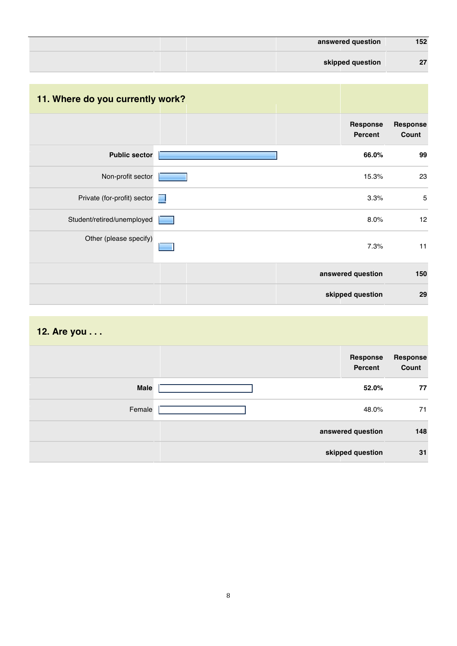| 152 | answered question |  |  |
|-----|-------------------|--|--|
| 27  | skipped question  |  |  |

# **11. Where do you currently work?**

|                             | Response<br>Percent | Response<br>Count |
|-----------------------------|---------------------|-------------------|
| <b>Public sector</b>        | 66.0%               | 99                |
| Non-profit sector           | 15.3%               | 23                |
| Private (for-profit) sector | 3.3%                | $\sqrt{5}$        |
| Student/retired/unemployed  | 8.0%                | 12                |
| Other (please specify)      | 7.3%                | 11                |
|                             | answered question   | 150               |
|                             | skipped question    | 29                |

#### **12. Are you . . .**

|             | Response<br>Percent | <b>Response</b><br>Count |
|-------------|---------------------|--------------------------|
| <b>Male</b> | 52.0%               | 77                       |
| Female      | 48.0%               | 71                       |
|             | answered question   | 148                      |
|             | skipped question    | 31                       |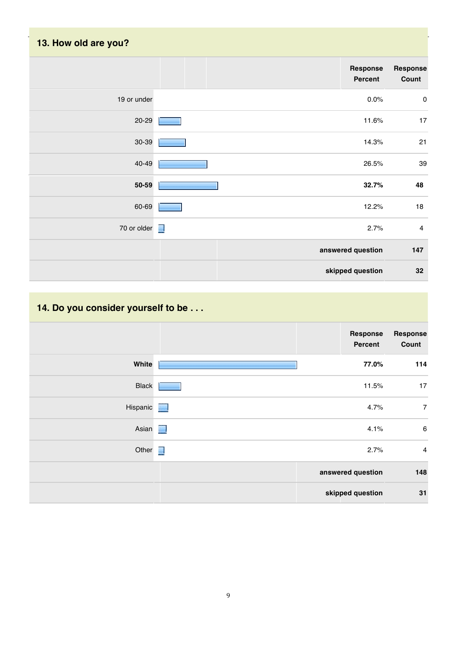| 13. How old are you? |                     |                   |
|----------------------|---------------------|-------------------|
|                      | Response<br>Percent | Response<br>Count |
| 19 or under          | 0.0%                | $\pmb{0}$         |
| 20-29                | 11.6%               | 17                |
| $30 - 39$            | 14.3%               | 21                |
| 40-49                | 26.5%               | 39                |
| 50-59                | 32.7%               | 48                |
| 60-69                | 12.2%               | 18                |
| 70 or older $\Box$   | 2.7%                | $\overline{4}$    |
|                      | answered question   | 147               |
|                      | skipped question    | 32                |

# **14. Do you consider yourself to be . . .**

|                 | <b>Response</b><br>Percent | Response<br>Count |
|-----------------|----------------------------|-------------------|
| White           | 77.0%                      | 114               |
| <b>Black</b>    | 11.5%                      | 17                |
| <b>Hispanic</b> | 4.7%                       | $\overline{7}$    |
| Asian <b>N</b>  | 4.1%                       | $\,6\,$           |
| Other $\Box$    | 2.7%                       | $\overline{4}$    |
|                 | answered question          | 148               |
|                 | skipped question           | 31                |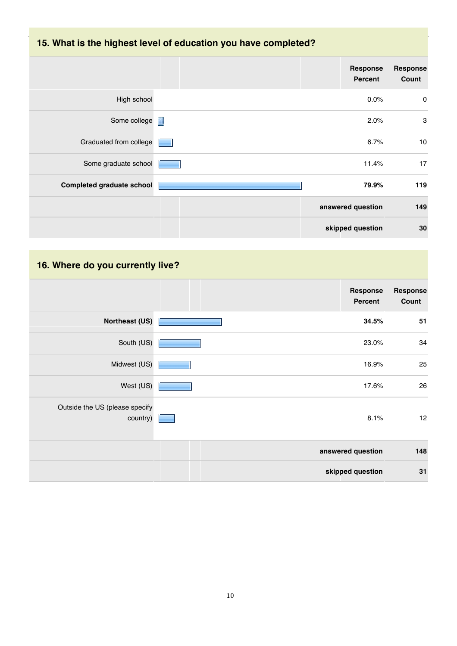# **15. What is the highest level of education you have completed?**

|                                  | Response<br><b>Percent</b> | Response<br>Count |
|----------------------------------|----------------------------|-------------------|
| High school                      | 0.0%                       | $\pmb{0}$         |
| Some college <b>T</b>            | 2.0%                       | 3                 |
| Graduated from college           | 6.7%                       | 10                |
| Some graduate school             | 11.4%                      | 17                |
| <b>Completed graduate school</b> | 79.9%                      | 119               |
|                                  | answered question          | 149               |
|                                  | skipped question           | 30                |

# **16. Where do you currently live?**

|                                            | <b>Response</b><br>Percent | Response<br>Count |
|--------------------------------------------|----------------------------|-------------------|
| <b>Northeast (US)</b>                      | 34.5%                      | 51                |
| South (US)                                 | 23.0%                      | 34                |
| Midwest (US)                               | 16.9%                      | 25                |
| West (US)                                  | 17.6%                      | 26                |
| Outside the US (please specify<br>country) | 8.1%                       | 12                |
|                                            | answered question          | 148               |
|                                            | skipped question           | 31                |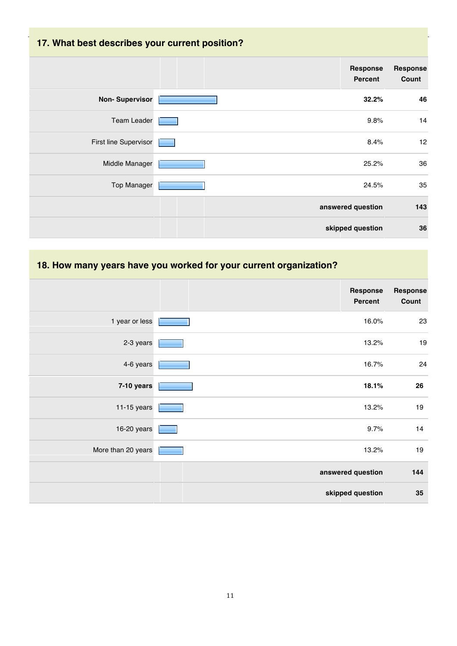# **17. What best describes your current position?**

|                       | Response<br><b>Percent</b> | <b>Response</b><br>Count |
|-----------------------|----------------------------|--------------------------|
| <b>Non-Supervisor</b> | 32.2%                      | 46                       |
| <b>Team Leader</b>    | 9.8%                       | 14                       |
| First line Supervisor | 8.4%                       | 12                       |
| Middle Manager        | 25.2%                      | 36                       |
| <b>Top Manager</b>    | 24.5%                      | 35                       |
|                       | answered question          | 143                      |
|                       | skipped question           | 36                       |

#### **18. How many years have you worked for your current organization?**

|                    | <b>Response</b><br><b>Percent</b> | <b>Response</b><br>Count |
|--------------------|-----------------------------------|--------------------------|
| 1 year or less     | 16.0%                             | 23                       |
| 2-3 years          | 13.2%                             | $19$                     |
| 4-6 years          | 16.7%                             | 24                       |
| 7-10 years         | 18.1%                             | 26                       |
| $11-15$ years      | 13.2%                             | 19                       |
| 16-20 years        | 9.7%                              | 14                       |
| More than 20 years | 13.2%                             | 19                       |
|                    | answered question                 | 144                      |
|                    | skipped question                  | 35                       |